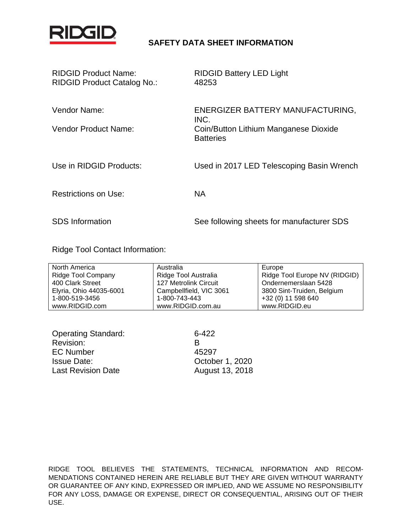

### **SAFETY DATA SHEET INFORMATION**

| <b>RIDGID Product Name:</b><br>RIDGID Product Catalog No.: | <b>RIDGID Battery LED Light</b><br>48253                                                              |
|------------------------------------------------------------|-------------------------------------------------------------------------------------------------------|
| Vendor Name:<br>Vendor Product Name:                       | ENERGIZER BATTERY MANUFACTURING,<br>INC.<br>Coin/Button Lithium Manganese Dioxide<br><b>Batteries</b> |
| Use in RIDGID Products:                                    | Used in 2017 LED Telescoping Basin Wrench                                                             |
| <b>Restrictions on Use:</b>                                | <b>NA</b>                                                                                             |
| <b>SDS</b> Information                                     | See following sheets for manufacturer SDS                                                             |

Ridge Tool Contact Information:

| North America             | Australia               | Europe                        |
|---------------------------|-------------------------|-------------------------------|
| <b>Ridge Tool Company</b> | Ridge Tool Australia    | Ridge Tool Europe NV (RIDGID) |
| 400 Clark Street          | 127 Metrolink Circuit   | Ondernemerslaan 5428          |
| Elyria, Ohio 44035-6001   | Campbellfield, VIC 3061 | 3800 Sint-Truiden, Belgium    |
| 1-800-519-3456            | 1-800-743-443           | +32 (0) 11 598 640            |
| www.RIDGID.com            | www.RIDGID.com.au       | www.RIDGID.eu                 |

| <b>Operating Standard:</b> | 6-422           |
|----------------------------|-----------------|
| Revision:                  | К               |
| <b>EC Number</b>           | 45297           |
| <b>Issue Date:</b>         | October 1, 2020 |
| <b>Last Revision Date</b>  | August 13, 2018 |

RIDGE TOOL BELIEVES THE STATEMENTS, TECHNICAL INFORMATION AND RECOM-MENDATIONS CONTAINED HEREIN ARE RELIABLE BUT THEY ARE GIVEN WITHOUT WARRANTY OR GUARANTEE OF ANY KIND, EXPRESSED OR IMPLIED, AND WE ASSUME NO RESPONSIBILITY FOR ANY LOSS, DAMAGE OR EXPENSE, DIRECT OR CONSEQUENTIAL, ARISING OUT OF THEIR USE.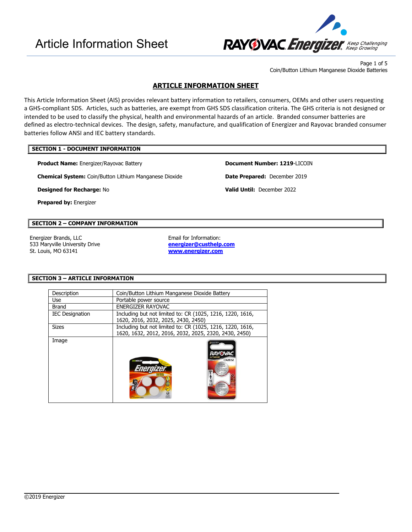

Page 1 of 5 Coin/Button Lithium Manganese Dioxide Batteries

### **ARTICLE INFORMATION SHEET**

This Article Information Sheet (AIS) provides relevant battery information to retailers, consumers, OEMs and other users requesting a GHS-compliant SDS. Articles, such as batteries, are exempt from GHS SDS classification criteria. The GHS criteria is not designed or intended to be used to classify the physical, health and environmental hazards of an article. Branded consumer batteries are defined as electro-technical devices. The design, safety, manufacture, and qualification of Energizer and Rayovac branded consumer batteries follow ANSI and IEC battery standards.

### **SECTION 1 - DOCUMENT INFORMATION**

**Product Name:** Energizer/Rayovac Battery **Document Number: 1219**-LICOIN

**Chemical System:** Coin/Button Lithium Manganese Dioxide **Date Prepared:** December 2019

**Designed for Recharge:** No **Valid Until:** December 2022

**Prepared by:** Energizer

### **SECTION 2 – COMPANY INFORMATION**

Energizer Brands, LLC **Email for Information:** 533 Maryville University Drive St. Louis, MO 63141

**[energizer@custhelp.com](mailto:energizer@custhelp.com) [www.energizer.com](http://www.energizer.com/)**

 $\overline{\phantom{a}}$ 

### **SECTION 3 – ARTICLE INFORMATION**

| Description            | Coin/Button Lithium Manganese Dioxide Battery                                                                      |
|------------------------|--------------------------------------------------------------------------------------------------------------------|
| Use                    | Portable power source                                                                                              |
| <b>Brand</b>           | ENERGIZER RAYOVAC                                                                                                  |
| <b>IEC Designation</b> | Including but not limited to: CR (1025, 1216, 1220, 1616,<br>1620, 2016, 2032, 2025, 2430, 2450)                   |
| <b>Sizes</b>           | Including but not limited to: CR (1025, 1216, 1220, 1616,<br>1620, 1632, 2012, 2016, 2032, 2025, 2320, 2430, 2450) |
| Image                  | RAYOVAC<br><b>CR2032</b><br><b><i>HUVENA</i></b>                                                                   |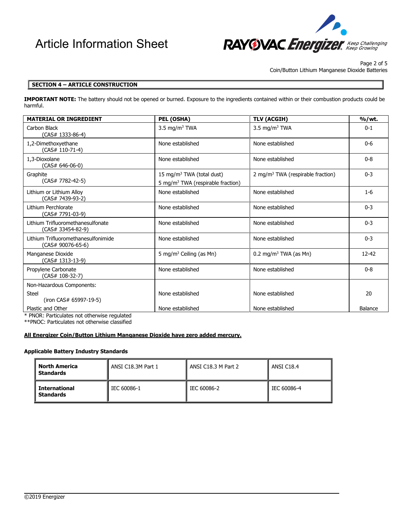

Page 2 of 5

Coin/Button Lithium Manganese Dioxide Batteries

### **SECTION 4 – ARTICLE CONSTRUCTION**

**IMPORTANT NOTE:** The battery should not be opened or burned. Exposure to the ingredients contained within or their combustion products could be harmful.

| <b>MATERIAL OR INGREDIENT</b>                                         | PEL (OSHA)                                                                             | <b>TLV (ACGIH)</b>                            | %/wt.          |
|-----------------------------------------------------------------------|----------------------------------------------------------------------------------------|-----------------------------------------------|----------------|
| Carbon Black<br>$(CAS# 1333-86-4)$                                    | 3.5 mg/m <sup>3</sup> TWA                                                              | 3.5 mg/m <sup>3</sup> TWA                     | $0 - 1$        |
| 1,2-Dimethoxyethane<br>(CAS# 110-71-4)                                | None established                                                                       | None established                              | $0-6$          |
| 1.3-Dioxolane<br>$(CAS# 646-06-0)$                                    | None established                                                                       | None established                              | $0 - 8$        |
| Graphite<br>$(CAS# 7782-42-5)$                                        | 15 mg/m <sup>3</sup> TWA (total dust)<br>5 mg/m <sup>3</sup> TWA (respirable fraction) | 2 mg/m <sup>3</sup> TWA (respirable fraction) | $0 - 3$        |
| Lithium or Lithium Alloy<br>(CAS# 7439-93-2)                          | None established                                                                       | None established                              | $1-6$          |
| Lithium Perchlorate<br>(CAS# 7791-03-9)                               | None established                                                                       | None established                              | $0 - 3$        |
| Lithium Trifluoromethanesulfonate<br>(CAS# 33454-82-9)                | None established                                                                       | None established                              | $0 - 3$        |
| Lithium Trifluoromethanesulfonimide<br>(CAS# 90076-65-6)              | None established                                                                       | None established                              | $0 - 3$        |
| Manganese Dioxide<br>(CAS# 1313-13-9)                                 | 5 mg/m <sup>3</sup> Ceiling (as Mn)                                                    | $0.2 \text{ mg/m}^3$ TWA (as Mn)              | 12-42          |
| Propylene Carbonate<br>(CAS# 108-32-7)                                | None established                                                                       | None established                              | $0 - 8$        |
| Non-Hazardous Components:                                             |                                                                                        |                                               |                |
| <b>Steel</b><br>(iron CAS# 65997-19-5)                                | None established                                                                       | None established                              | 20             |
| Plastic and Other<br><b>DNOD</b> : Deutlechee wat attenuates websited | None established                                                                       | None established                              | <b>Balance</b> |

\* PNOR: Particulates not otherwise regulated

\*\*PNOC: Particulates not otherwise classified

### **All Energizer Coin/Button Lithium Manganese Dioxide have zero added mercury.**

### **Applicable Battery Industry Standards**

| <b>North America</b><br>ANSI C18.3M Part 1<br><b>Standards</b> |             | ANSI C18.3 M Part 2 | ANSI C18.4  |  |
|----------------------------------------------------------------|-------------|---------------------|-------------|--|
| <b>International</b><br><b>Standards</b>                       | IEC 60086-1 | IEC 60086-2         | IEC 60086-4 |  |

 $\overline{\phantom{a}}$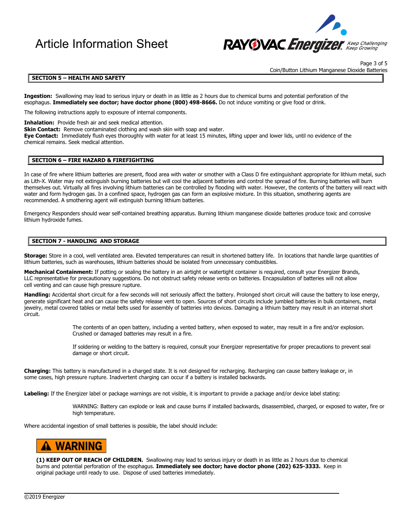

Page 3 of 5 Coin/Button Lithium Manganese Dioxide Batteries

### **SECTION 5 – HEALTH AND SAFETY**

**Ingestion:** Swallowing may lead to serious injury or death in as little as 2 hours due to chemical burns and potential perforation of the esophagus. **Immediately see doctor; have doctor phone (800) 498-8666.** Do not induce vomiting or give food or drink.

The following instructions apply to exposure of internal components.

**Inhalation:** Provide fresh air and seek medical attention.

**Skin Contact:** Remove contaminated clothing and wash skin with soap and water.

**Eye Contact:** Immediately flush eyes thoroughly with water for at least 15 minutes, lifting upper and lower lids, until no evidence of the chemical remains. Seek medical attention.

### **SECTION 6 – FIRE HAZARD & FIREFIGHTING**

In case of fire where lithium batteries are present, flood area with water or smother with a Class D fire extinguishant appropriate for lithium metal, such as Lith-X. Water may not extinguish burning batteries but will cool the adjacent batteries and control the spread of fire. Burning batteries will burn themselves out. Virtually all fires involving lithium batteries can be controlled by flooding with water. However, the contents of the battery will react with water and form hydrogen gas. In a confined space, hydrogen gas can form an explosive mixture. In this situation, smothering agents are recommended. A smothering agent will extinguish burning lithium batteries.

Emergency Responders should wear self-contained breathing apparatus. Burning lithium manganese dioxide batteries produce toxic and corrosive lithium hydroxide fumes.

### **SECTION 7 - HANDLING AND STORAGE**

**Storage:** Store in a cool, well ventilated area. Elevated temperatures can result in shortened battery life. In locations that handle large quantities of lithium batteries, such as warehouses, lithium batteries should be isolated from unnecessary combustibles.

Mechanical Containment: If potting or sealing the battery in an airtight or watertight container is required, consult your Energizer Brands, LLC representative for precautionary suggestions. Do not obstruct safety release vents on batteries. Encapsulation of batteries will not allow cell venting and can cause high pressure rupture.

Handling: Accidental short circuit for a few seconds will not seriously affect the battery. Prolonged short circuit will cause the battery to lose energy, generate significant heat and can cause the safety release vent to open. Sources of short circuits include jumbled batteries in bulk containers, metal jewelry, metal covered tables or metal belts used for assembly of batteries into devices. Damaging a lithium battery may result in an internal short circuit.

> The contents of an open battery, including a vented battery, when exposed to water, may result in a fire and/or explosion. Crushed or damaged batteries may result in a fire.

If soldering or welding to the battery is required, consult your Energizer representative for proper precautions to prevent seal damage or short circuit.

**Charging:** This battery is manufactured in a charged state. It is not designed for recharging. Recharging can cause battery leakage or, in some cases, high pressure rupture. Inadvertent charging can occur if a battery is installed backwards.

**Labeling:** If the Energizer label or package warnings are not visible, it is important to provide a package and/or device label stating:

WARNING: Battery can explode or leak and cause burns if installed backwards, disassembled, charged, or exposed to water, fire or high temperature.

Where accidental ingestion of small batteries is possible, the label should include:

## **WARNING**

**(1) KEEP OUT OF REACH OF CHILDREN.** Swallowing may lead to serious injury or death in as little as 2 hours due to chemical burns and potential perforation of the esophagus. **Immediately see doctor; have doctor phone (202) 625-3333.** Keep in original package until ready to use. Dispose of used batteries immediately.

 $\overline{\phantom{a}}$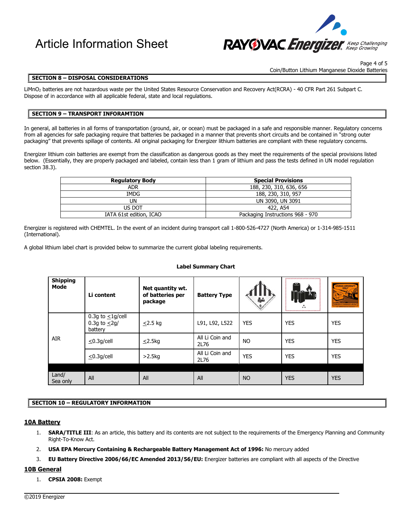

Page 4 of 5 Coin/Button Lithium Manganese Dioxide Batteries

### **SECTION 8 – DISPOSAL CONSIDERATIONS**

LiMnO2 batteries are not hazardous waste per the United States Resource Conservation and Recovery Act(RCRA) - 40 CFR Part 261 Subpart C. Dispose of in accordance with all applicable federal, state and local regulations.

### **SECTION 9 – TRANSPORT INFORAMTION**

In general, all batteries in all forms of transportation (ground, air, or ocean) must be packaged in a safe and responsible manner. Regulatory concerns from all agencies for safe packaging require that batteries be packaged in a manner that prevents short circuits and be contained in "strong outer packaging" that prevents spillage of contents. All original packaging for Energizer lithium batteries are compliant with these regulatory concerns.

Energizer lithium coin batteries are exempt from the classification as dangerous goods as they meet the requirements of the special provisions listed below. (Essentially, they are properly packaged and labeled, contain less than 1 gram of lithium and pass the tests defined in UN model regulation section 38.3).

| <b>Regulatory Body</b>  | <b>Special Provisions</b>        |
|-------------------------|----------------------------------|
| adr                     | 188, 230, 310, 636, 656          |
| IMDG                    | 188, 230, 310, 957               |
| UN                      | UN 3090, UN 3091                 |
| US DOT                  | 422. A54                         |
| IATA 61st edition, ICAO | Packaging Instructions 968 - 970 |

Energizer is registered with CHEMTEL. In the event of an incident during transport call 1-800-526-4727 (North America) or 1-314-985-1511 (International).

A global lithium label chart is provided below to summarize the current global labeling requirements.

### **Label Summary Chart**

| <b>Shipping</b><br>Mode | Li content                                              | Net quantity wt.<br>of batteries per<br>package | <b>Battery Type</b>     | 晶          | ,,,,,,,,,,,,,,,,,,,,,,,,,,,,,<br>احت<br>$\frac{\lambda}{\lambda}$<br>**<br>,,,,,,,,,,,,,,,,,,,,,,,,,,,,,, | CARGO AIRCRAFT<br><b>EX</b><br><b>REIDDEN IN PASSENGER AIRCRAI</b> |
|-------------------------|---------------------------------------------------------|-------------------------------------------------|-------------------------|------------|-----------------------------------------------------------------------------------------------------------|--------------------------------------------------------------------|
| AIR                     | 0.3g to $\leq$ 1g/cell<br>0.3g to $\leq$ 2g/<br>battery | $\leq$ 2.5 kg                                   | L91, L92, L522          | <b>YES</b> | <b>YES</b>                                                                                                | <b>YES</b>                                                         |
|                         | $\leq$ 0.3g/cell                                        | $\leq$ 2.5kg                                    | All Li Coin and<br>2L76 | <b>NO</b>  | <b>YES</b>                                                                                                | <b>YES</b>                                                         |
|                         | $\leq$ 0.3g/cell                                        | >2.5kg                                          | All Li Coin and<br>2L76 | <b>YES</b> | <b>YES</b>                                                                                                | <b>YES</b>                                                         |
|                         |                                                         |                                                 |                         |            |                                                                                                           |                                                                    |
| Land/<br>Sea only       | All                                                     | All                                             | All                     | <b>NO</b>  | <b>YES</b>                                                                                                | <b>YES</b>                                                         |

### **SECTION 10 – REGULATORY INFORMATION**

### **10A Battery**

- 1. **SARA/TITLE III**: As an article, this battery and its contents are not subject to the requirements of the Emergency Planning and Community Right-To-Know Act.
- 2. **USA EPA Mercury Containing & Rechargeable Battery Management Act of 1996:** No mercury added
- 3. **EU Battery Directive 2006/66/EC Amended 2013/56/EU:** Energizer batteries are compliant with all aspects of the Directive

 $\overline{\phantom{a}}$ 

### **10B General**

1. **CPSIA 2008:** Exempt